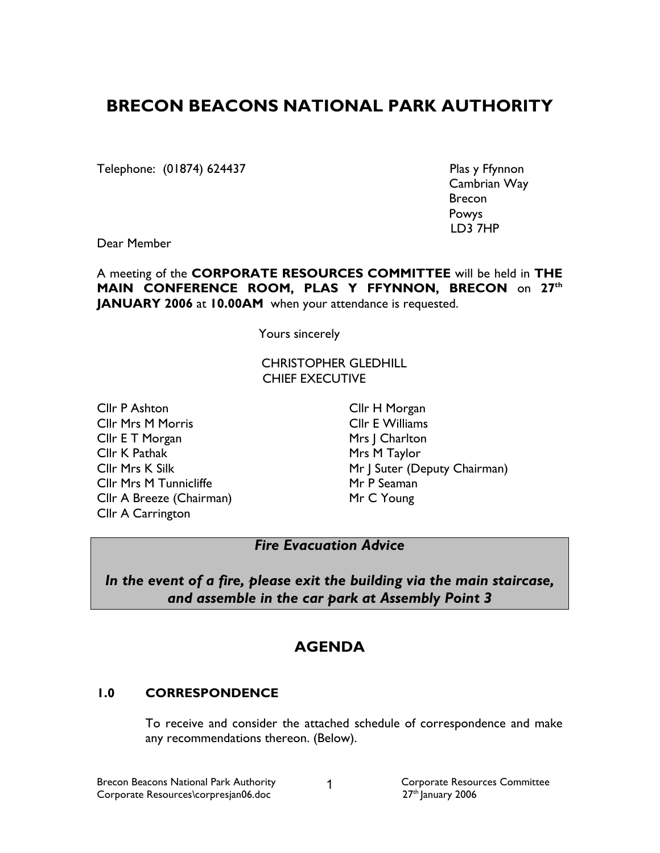# BRECON BEACONS NATIONAL PARK AUTHORITY

Telephone: (01874) 624437 Plas y Ffynnon

 Cambrian Way **Brecon** (1999) and the contract of the contract of the Brecon Powys LD3 7HP

Dear Member

A meeting of the CORPORATE RESOURCES COMMITTEE will be held in THE MAIN CONFERENCE ROOM, PLAS Y FFYNNON, BRECON on 27th JANUARY 2006 at 10.00AM when your attendance is requested.

Yours sincerely

CHRISTOPHER GLEDHILL CHIEF EXECUTIVE

Cllr P Ashton Cllr Mrs M Morris Cllr E T Morgan Cllr K Pathak Cllr Mrs K Silk Cllr Mrs M Tunnicliffe Cllr A Breeze (Chairman) Cllr A Carrington

Cllr H Morgan Cllr E Williams Mrs | Charlton Mrs M Taylor Mr J Suter (Deputy Chairman) Mr P Seaman Mr C Young

# Fire Evacuation Advice

In the event of a fire, please exit the building via the main staircase, and assemble in the car park at Assembly Point 3

# **AGENDA**

# 1.0 CORRESPONDENCE

 To receive and consider the attached schedule of correspondence and make any recommendations thereon. (Below).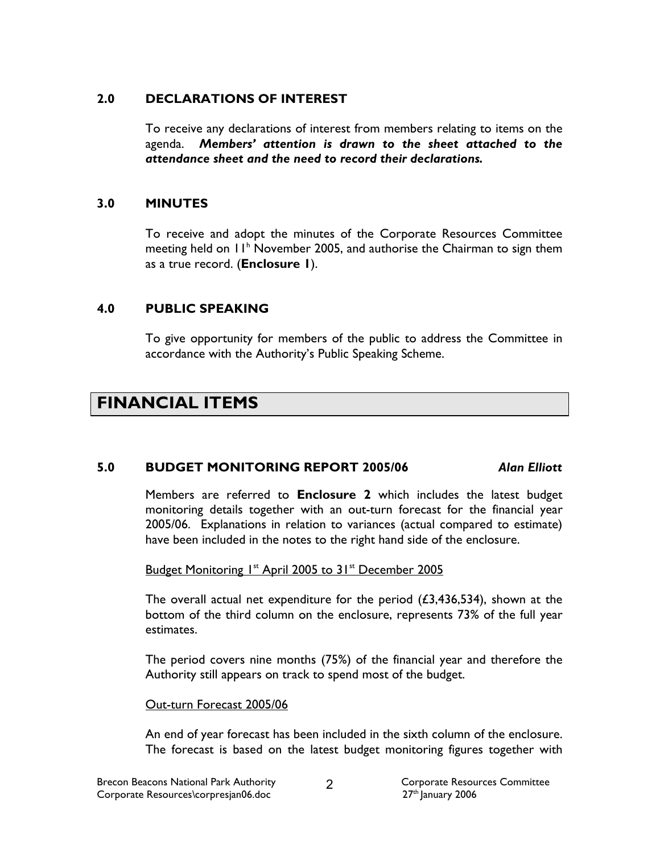### 2.0 DECLARATIONS OF INTEREST

 To receive any declarations of interest from members relating to items on the agenda. Members' attention is drawn to the sheet attached to the attendance sheet and the need to record their declarations.

### 3.0 MINUTES

To receive and adopt the minutes of the Corporate Resources Committee meeting held on 11<sup>h</sup> November 2005, and authorise the Chairman to sign them as a true record. (Enclosure 1).

# 4.0 PUBLIC SPEAKING

To give opportunity for members of the public to address the Committee in accordance with the Authority's Public Speaking Scheme.

# FINANCIAL ITEMS

### 5.0 BUDGET MONITORING REPORT 2005/06 Alan Elliott

Members are referred to Enclosure 2 which includes the latest budget monitoring details together with an out-turn forecast for the financial year 2005/06. Explanations in relation to variances (actual compared to estimate) have been included in the notes to the right hand side of the enclosure.

Budget Monitoring 1<sup>st</sup> April 2005 to 31<sup>st</sup> December 2005

The overall actual net expenditure for the period  $(23,436,534)$ , shown at the bottom of the third column on the enclosure, represents 73% of the full year estimates.

The period covers nine months (75%) of the financial year and therefore the Authority still appears on track to spend most of the budget.

### Out-turn Forecast 2005/06

An end of year forecast has been included in the sixth column of the enclosure. The forecast is based on the latest budget monitoring figures together with

 $\mathcal{P}$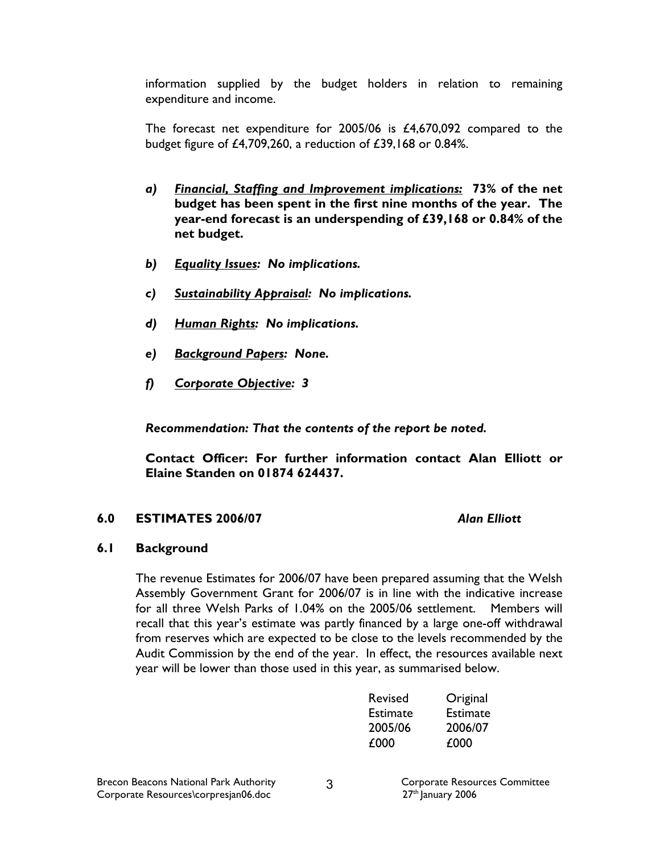information supplied by the budget holders in relation to remaining expenditure and income.

The forecast net expenditure for 2005/06 is £4,670,092 compared to the budget figure of £4,709,260, a reduction of £39,168 or 0.84%.

- a) Financial, Staffing and Improvement implications: 73% of the net budget has been spent in the first nine months of the year. The year-end forecast is an underspending of £39,168 or 0.84% of the net budget.
- b) Equality Issues: No implications.
- c) Sustainability Appraisal: No implications.
- d) Human Rights: No implications.
- e) Background Papers: None.
- f) Corporate Objective: 3

Recommendation: That the contents of the report be noted.

 Contact Officer: For further information contact Alan Elliott or Elaine Standen on 01874 624437.

### 6.0 ESTIMATES 2006/07 Alan Elliott

### 6.1 Background

The revenue Estimates for 2006/07 have been prepared assuming that the Welsh Assembly Government Grant for 2006/07 is in line with the indicative increase for all three Welsh Parks of 1.04% on the 2005/06 settlement. Members will recall that this year's estimate was partly financed by a large one-off withdrawal from reserves which are expected to be close to the levels recommended by the Audit Commission by the end of the year. In effect, the resources available next year will be lower than those used in this year, as summarised below.

| Revised         | Original        |
|-----------------|-----------------|
| <b>Estimate</b> | <b>Estimate</b> |
| 2005/06         | 2006/07         |
| £000            | £000            |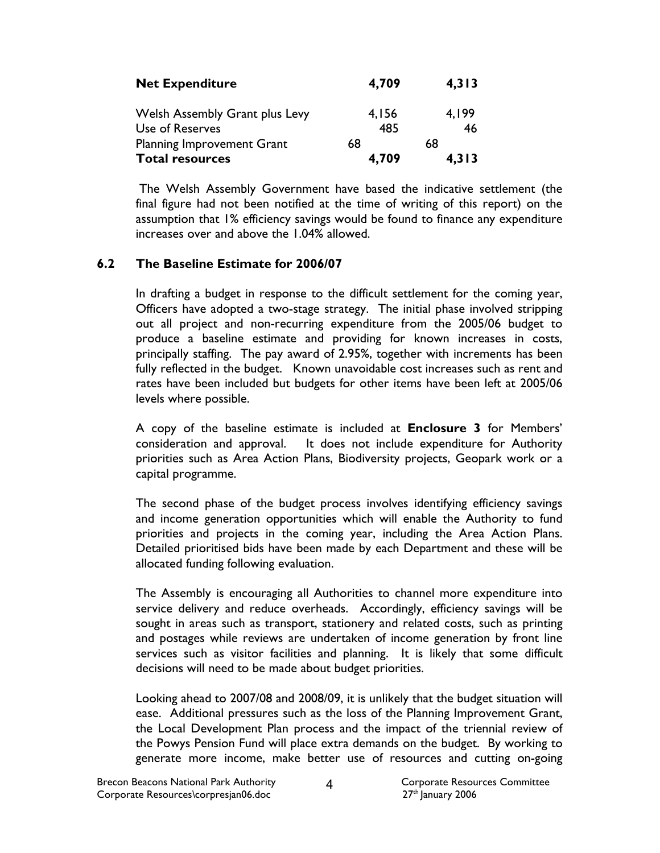| <b>Net Expenditure</b>                | 4,709 | 4,313 |
|---------------------------------------|-------|-------|
| <b>Welsh Assembly Grant plus Levy</b> | 4,156 | 4.199 |
| Use of Reserves                       | 485   | 46    |
| Planning Improvement Grant            | 68    | 68    |
| <b>Total resources</b>                | 4,709 | 4,313 |

 The Welsh Assembly Government have based the indicative settlement (the final figure had not been notified at the time of writing of this report) on the assumption that 1% efficiency savings would be found to finance any expenditure increases over and above the 1.04% allowed.

### 6.2 The Baseline Estimate for 2006/07

In drafting a budget in response to the difficult settlement for the coming year, Officers have adopted a two-stage strategy. The initial phase involved stripping out all project and non-recurring expenditure from the 2005/06 budget to produce a baseline estimate and providing for known increases in costs, principally staffing. The pay award of 2.95%, together with increments has been fully reflected in the budget. Known unavoidable cost increases such as rent and rates have been included but budgets for other items have been left at 2005/06 levels where possible.

A copy of the baseline estimate is included at Enclosure 3 for Members' consideration and approval. It does not include expenditure for Authority priorities such as Area Action Plans, Biodiversity projects, Geopark work or a capital programme.

The second phase of the budget process involves identifying efficiency savings and income generation opportunities which will enable the Authority to fund priorities and projects in the coming year, including the Area Action Plans. Detailed prioritised bids have been made by each Department and these will be allocated funding following evaluation.

The Assembly is encouraging all Authorities to channel more expenditure into service delivery and reduce overheads. Accordingly, efficiency savings will be sought in areas such as transport, stationery and related costs, such as printing and postages while reviews are undertaken of income generation by front line services such as visitor facilities and planning. It is likely that some difficult decisions will need to be made about budget priorities.

Looking ahead to 2007/08 and 2008/09, it is unlikely that the budget situation will ease. Additional pressures such as the loss of the Planning Improvement Grant, the Local Development Plan process and the impact of the triennial review of the Powys Pension Fund will place extra demands on the budget. By working to generate more income, make better use of resources and cutting on-going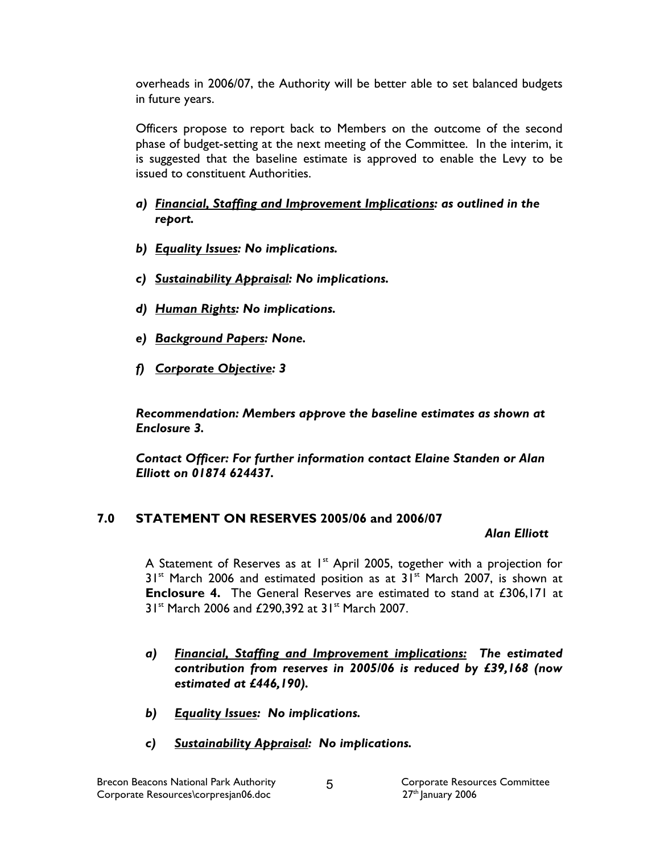overheads in 2006/07, the Authority will be better able to set balanced budgets in future years.

Officers propose to report back to Members on the outcome of the second phase of budget-setting at the next meeting of the Committee. In the interim, it is suggested that the baseline estimate is approved to enable the Levy to be issued to constituent Authorities.

- a) Financial, Staffing and Improvement Implications: as outlined in the report.
- b) Equality Issues: No implications.
- c) Sustainability Appraisal: No implications.
- d) Human Rights: No implications.
- e) Background Papers: None.
- f) Corporate Objective: 3

Recommendation: Members approve the baseline estimates as shown at Enclosure 3.

Contact Officer: For further information contact Elaine Standen or Alan Elliott on 01874 624437.

# 7.0 STATEMENT ON RESERVES 2005/06 and 2006/07

#### Alan Elliott

A Statement of Reserves as at  $1^{st}$  April 2005, together with a projection for  $31<sup>st</sup>$  March 2006 and estimated position as at  $31<sup>st</sup>$  March 2007, is shown at Enclosure 4. The General Reserves are estimated to stand at £306,171 at 31<sup>st</sup> March 2006 and £290,392 at 31<sup>st</sup> March 2007.

- a) Financial, Staffing and Improvement implications: The estimated contribution from reserves in 2005/06 is reduced by £39,168 (now estimated at £446,190).
- b) Equality Issues: No implications.
- c) Sustainability Appraisal: No implications.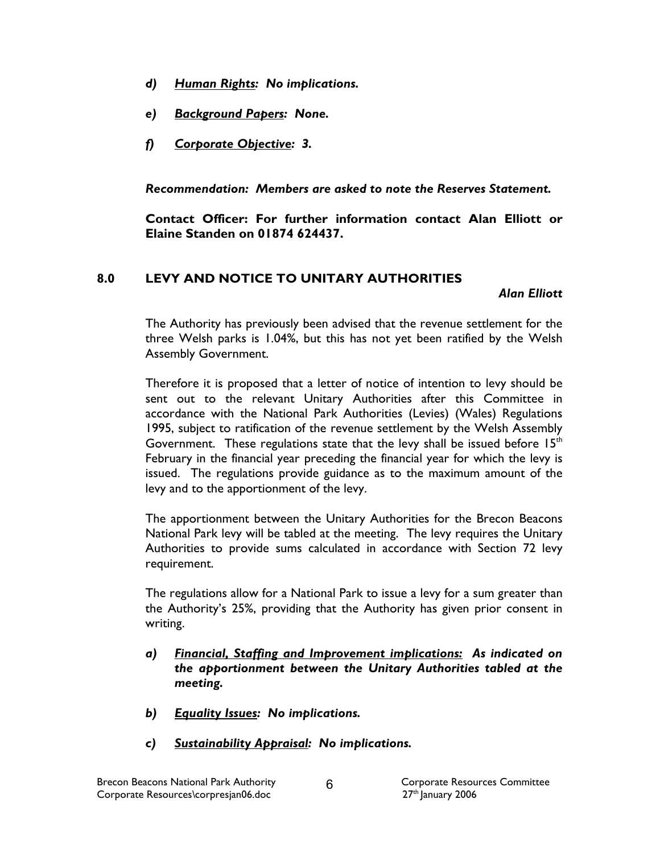- d) Human Rights: No implications.
- e) Background Papers: None.
- f) Corporate Objective: 3.

Recommendation: Members are asked to note the Reserves Statement.

 Contact Officer: For further information contact Alan Elliott or Elaine Standen on 01874 624437.

## 8.0 LEVY AND NOTICE TO UNITARY AUTHORITIES

Alan Elliott

The Authority has previously been advised that the revenue settlement for the three Welsh parks is 1.04%, but this has not yet been ratified by the Welsh Assembly Government.

Therefore it is proposed that a letter of notice of intention to levy should be sent out to the relevant Unitary Authorities after this Committee in accordance with the National Park Authorities (Levies) (Wales) Regulations 1995, subject to ratification of the revenue settlement by the Welsh Assembly Government. These regulations state that the levy shall be issued before  $15<sup>th</sup>$ February in the financial year preceding the financial year for which the levy is issued. The regulations provide guidance as to the maximum amount of the levy and to the apportionment of the levy.

The apportionment between the Unitary Authorities for the Brecon Beacons National Park levy will be tabled at the meeting. The levy requires the Unitary Authorities to provide sums calculated in accordance with Section 72 levy requirement.

The regulations allow for a National Park to issue a levy for a sum greater than the Authority's 25%, providing that the Authority has given prior consent in writing.

- a) Financial, Staffing and Improvement implications: As indicated on the apportionment between the Unitary Authorities tabled at the meeting.
- b) Equality Issues: No implications.
- c) Sustainability Appraisal: No implications.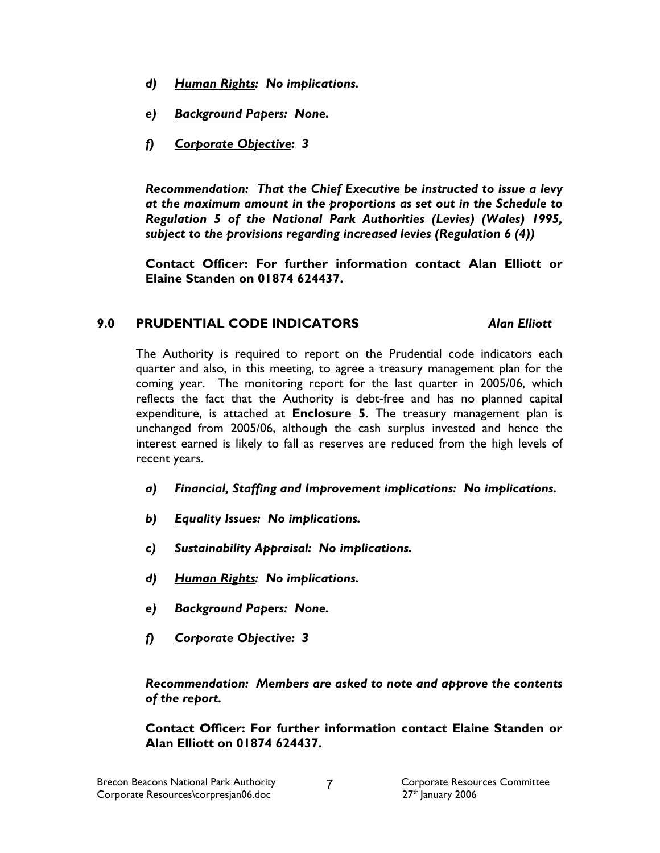- d) Human Rights: No implications.
- e) Background Papers: None.
- f) Corporate Objective: 3

Recommendation: That the Chief Executive be instructed to issue a levy at the maximum amount in the proportions as set out in the Schedule to Regulation 5 of the National Park Authorities (Levies) (Wales) 1995, subject to the provisions regarding increased levies (Regulation 6 (4))

 Contact Officer: For further information contact Alan Elliott or Elaine Standen on 01874 624437.

# 9.0 PRUDENTIAL CODE INDICATORS Alan Elliott

The Authority is required to report on the Prudential code indicators each quarter and also, in this meeting, to agree a treasury management plan for the coming year. The monitoring report for the last quarter in 2005/06, which reflects the fact that the Authority is debt-free and has no planned capital expenditure, is attached at Enclosure 5. The treasury management plan is unchanged from 2005/06, although the cash surplus invested and hence the interest earned is likely to fall as reserves are reduced from the high levels of recent years.

- a) Financial, Staffing and Improvement implications: No implications.
- b) Equality Issues: No implications.
- c) Sustainability Appraisal: No implications.
- d) Human Rights: No implications.
- e) Background Papers: None.
- f) Corporate Objective: 3

Recommendation: Members are asked to note and approve the contents of the report.

Contact Officer: For further information contact Elaine Standen or Alan Elliott on 01874 624437.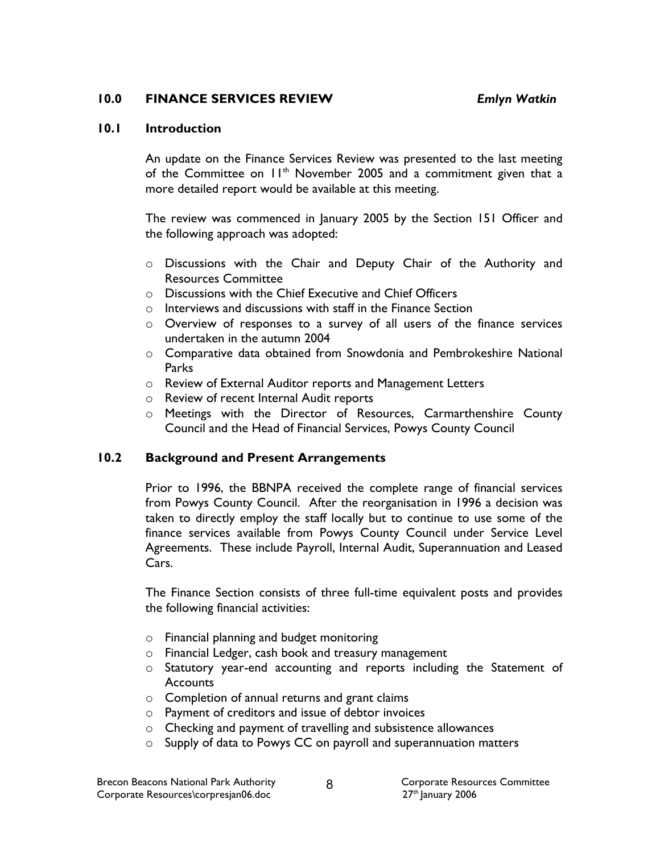#### 10.0 FINANCE SERVICES REVIEW Emlyn Watkin

#### 10.1 Introduction

An update on the Finance Services Review was presented to the last meeting of the Committee on  $11<sup>th</sup>$  November 2005 and a commitment given that a more detailed report would be available at this meeting.

The review was commenced in January 2005 by the Section 151 Officer and the following approach was adopted:

- o Discussions with the Chair and Deputy Chair of the Authority and Resources Committee
- $\circ$  Discussions with the Chief Executive and Chief Officers
- o Interviews and discussions with staff in the Finance Section
- o Overview of responses to a survey of all users of the finance services undertaken in the autumn 2004
- o Comparative data obtained from Snowdonia and Pembrokeshire National **Parks**
- o Review of External Auditor reports and Management Letters
- o Review of recent Internal Audit reports
- o Meetings with the Director of Resources, Carmarthenshire County Council and the Head of Financial Services, Powys County Council

### 10.2 Background and Present Arrangements

Prior to 1996, the BBNPA received the complete range of financial services from Powys County Council. After the reorganisation in 1996 a decision was taken to directly employ the staff locally but to continue to use some of the finance services available from Powys County Council under Service Level Agreements. These include Payroll, Internal Audit, Superannuation and Leased Cars.

The Finance Section consists of three full-time equivalent posts and provides the following financial activities:

- o Financial planning and budget monitoring
- o Financial Ledger, cash book and treasury management
- o Statutory year-end accounting and reports including the Statement of **Accounts**
- o Completion of annual returns and grant claims
- o Payment of creditors and issue of debtor invoices
- o Checking and payment of travelling and subsistence allowances
- o Supply of data to Powys CC on payroll and superannuation matters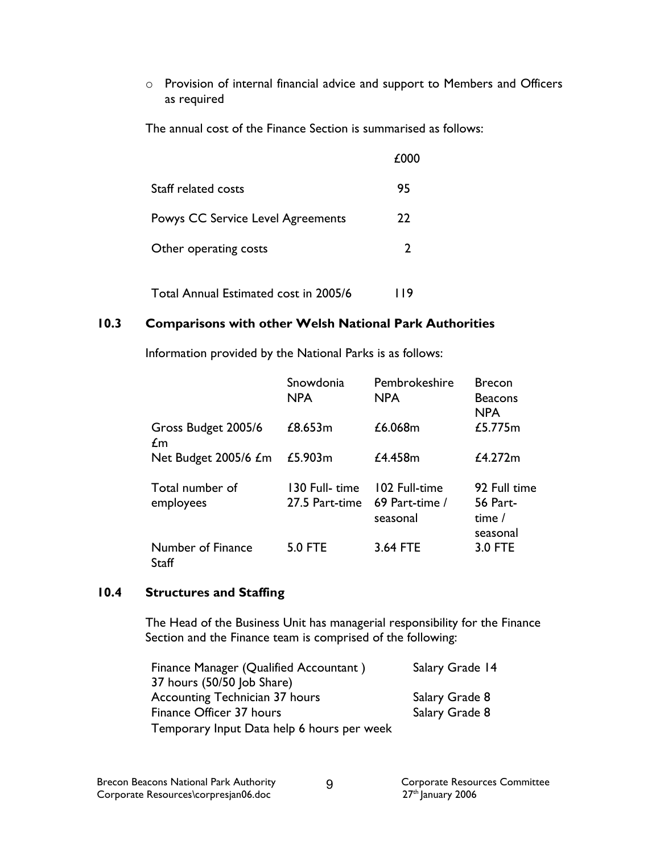o Provision of internal financial advice and support to Members and Officers as required

The annual cost of the Finance Section is summarised as follows:

|                                          | £000 |
|------------------------------------------|------|
| Staff related costs                      | 95   |
| <b>Powys CC Service Level Agreements</b> | 22   |
| Other operating costs                    | 2    |
|                                          |      |

Total Annual Estimated cost in 2005/6 119

# 10.3 Comparisons with other Welsh National Park Authorities

Information provided by the National Parks is as follows:

|                                   | Snowdonia<br><b>NPA</b>          | Pembrokeshire<br><b>NPA</b>                 | <b>Brecon</b><br><b>Beacons</b><br><b>NPA</b>         |
|-----------------------------------|----------------------------------|---------------------------------------------|-------------------------------------------------------|
| Gross Budget 2005/6<br>£m         | £8.653m                          | £6.068m                                     | £5.775m                                               |
| Net Budget 2005/6 £m              | £5.903m                          | £4.458m                                     | £4.272m                                               |
| Total number of<br>employees      | 130 Full- time<br>27.5 Part-time | 102 Full-time<br>69 Part-time /<br>seasonal | 92 Full time<br><b>56 Part-</b><br>time /<br>seasonal |
| Number of Finance<br><b>Staff</b> | <b>5.0 FTE</b>                   | 3.64 FTE                                    | 3.0 FTE                                               |

#### 10.4 Structures and Staffing

The Head of the Business Unit has managerial responsibility for the Finance Section and the Finance team is comprised of the following:

| Finance Manager (Qualified Accountant)     | Salary Grade 14 |
|--------------------------------------------|-----------------|
| 37 hours (50/50 Job Share)                 |                 |
| <b>Accounting Technician 37 hours</b>      | Salary Grade 8  |
| Finance Officer 37 hours                   | Salary Grade 8  |
| Temporary Input Data help 6 hours per week |                 |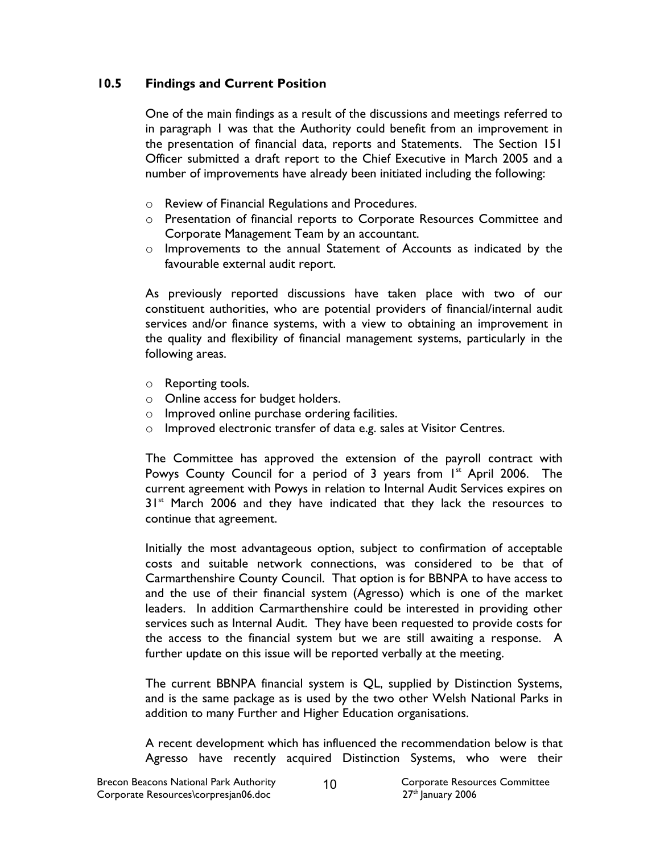#### 10.5 Findings and Current Position

One of the main findings as a result of the discussions and meetings referred to in paragraph 1 was that the Authority could benefit from an improvement in the presentation of financial data, reports and Statements. The Section 151 Officer submitted a draft report to the Chief Executive in March 2005 and a number of improvements have already been initiated including the following:

- o Review of Financial Regulations and Procedures.
- o Presentation of financial reports to Corporate Resources Committee and Corporate Management Team by an accountant.
- o Improvements to the annual Statement of Accounts as indicated by the favourable external audit report.

As previously reported discussions have taken place with two of our constituent authorities, who are potential providers of financial/internal audit services and/or finance systems, with a view to obtaining an improvement in the quality and flexibility of financial management systems, particularly in the following areas.

- o Reporting tools.
- o Online access for budget holders.
- o Improved online purchase ordering facilities.
- o Improved electronic transfer of data e.g. sales at Visitor Centres.

The Committee has approved the extension of the payroll contract with Powys County Council for a period of 3 years from  $I<sup>st</sup>$  April 2006. The current agreement with Powys in relation to Internal Audit Services expires on  $31<sup>st</sup>$  March 2006 and they have indicated that they lack the resources to continue that agreement.

Initially the most advantageous option, subject to confirmation of acceptable costs and suitable network connections, was considered to be that of Carmarthenshire County Council. That option is for BBNPA to have access to and the use of their financial system (Agresso) which is one of the market leaders. In addition Carmarthenshire could be interested in providing other services such as Internal Audit. They have been requested to provide costs for the access to the financial system but we are still awaiting a response. A further update on this issue will be reported verbally at the meeting.

The current BBNPA financial system is QL, supplied by Distinction Systems, and is the same package as is used by the two other Welsh National Parks in addition to many Further and Higher Education organisations.

A recent development which has influenced the recommendation below is that Agresso have recently acquired Distinction Systems, who were their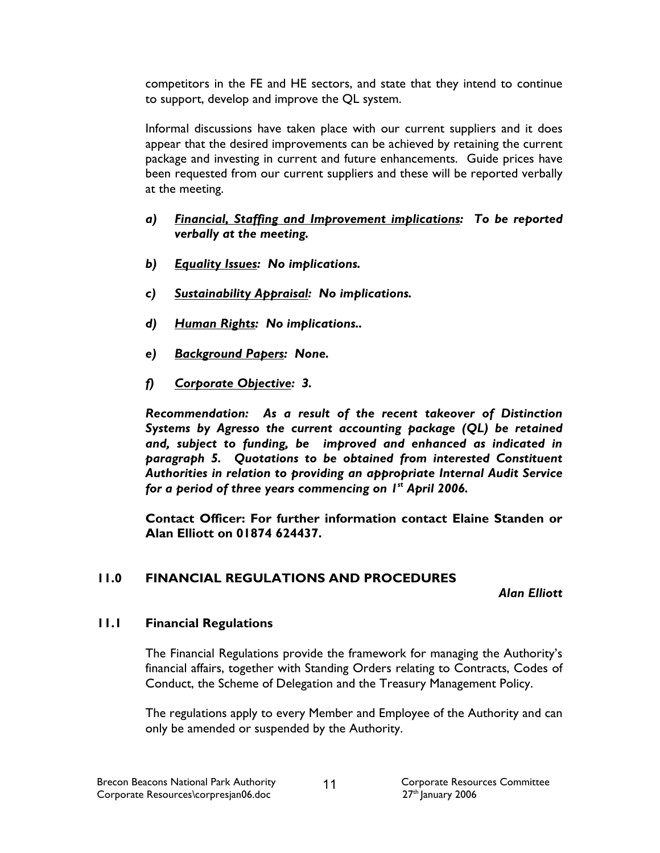competitors in the FE and HE sectors, and state that they intend to continue to support, develop and improve the QL system.

Informal discussions have taken place with our current suppliers and it does appear that the desired improvements can be achieved by retaining the current package and investing in current and future enhancements. Guide prices have been requested from our current suppliers and these will be reported verbally at the meeting.

- a) Financial, Staffing and Improvement implications: To be reported verbally at the meeting.
- b) Equality Issues: No implications.
- c) Sustainability Appraisal: No implications.
- d) Human Rights: No implications..
- e) Background Papers: None.
- f) Corporate Objective: 3.

Recommendation: As a result of the recent takeover of Distinction Systems by Agresso the current accounting package (QL) be retained and, subject to funding, be improved and enhanced as indicated in paragraph 5. Quotations to be obtained from interested Constituent Authorities in relation to providing an appropriate Internal Audit Service for a period of three years commencing on  $I^st$  April 2006.

Contact Officer: For further information contact Elaine Standen or Alan Elliott on 01874 624437.

### 11.0 FINANCIAL REGULATIONS AND PROCEDURES

Alan Elliott

### 11.1 Financial Regulations

The Financial Regulations provide the framework for managing the Authority's financial affairs, together with Standing Orders relating to Contracts, Codes of Conduct, the Scheme of Delegation and the Treasury Management Policy.

The regulations apply to every Member and Employee of the Authority and can only be amended or suspended by the Authority.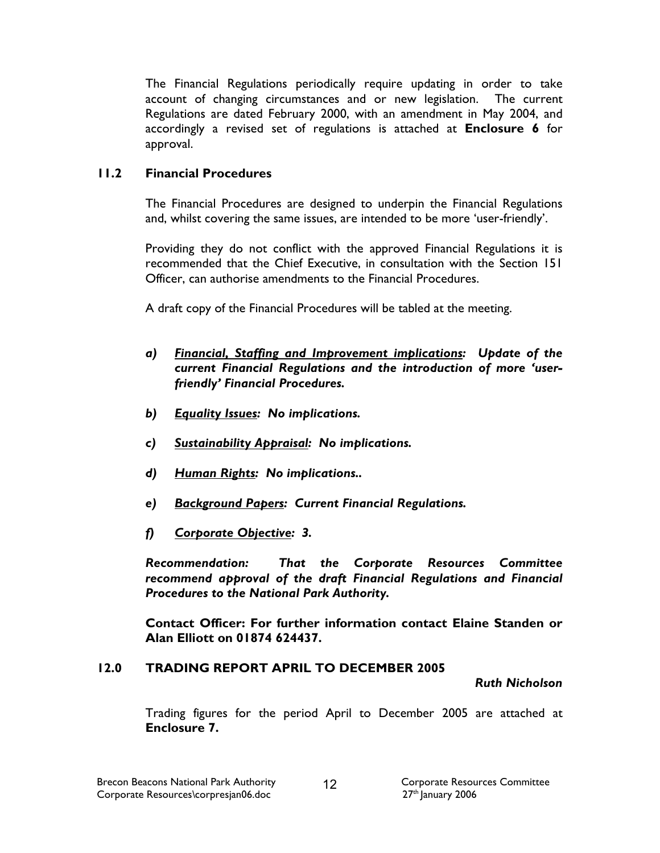The Financial Regulations periodically require updating in order to take account of changing circumstances and or new legislation. The current Regulations are dated February 2000, with an amendment in May 2004, and accordingly a revised set of regulations is attached at Enclosure 6 for approval.

# 11.2 Financial Procedures

The Financial Procedures are designed to underpin the Financial Regulations and, whilst covering the same issues, are intended to be more 'user-friendly'.

Providing they do not conflict with the approved Financial Regulations it is recommended that the Chief Executive, in consultation with the Section 151 Officer, can authorise amendments to the Financial Procedures.

A draft copy of the Financial Procedures will be tabled at the meeting.

- a) Financial, Staffing and Improvement implications: Update of the current Financial Regulations and the introduction of more 'userfriendly' Financial Procedures.
- b) Equality Issues: No implications.
- c) Sustainability Appraisal: No implications.
- d) Human Rights: No implications..
- e) Background Papers: Current Financial Regulations.
- f) Corporate Objective: 3.

Recommendation: That the Corporate Resources Committee recommend approval of the draft Financial Regulations and Financial Procedures to the National Park Authority.

Contact Officer: For further information contact Elaine Standen or Alan Elliott on 01874 624437.

### 12.0 TRADING REPORT APRIL TO DECEMBER 2005

#### Ruth Nicholson

Trading figures for the period April to December 2005 are attached at Enclosure 7.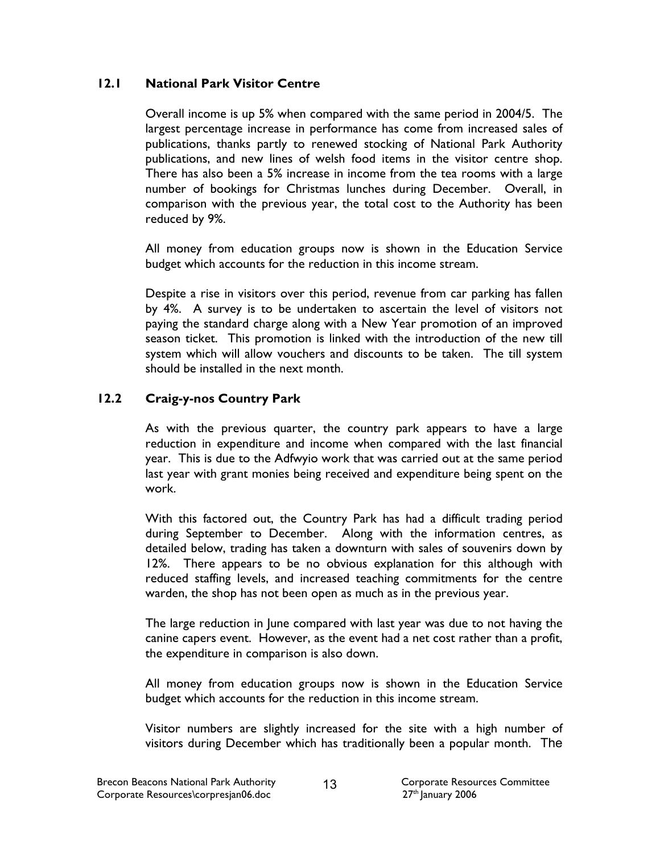### 12.1 National Park Visitor Centre

Overall income is up 5% when compared with the same period in 2004/5. The largest percentage increase in performance has come from increased sales of publications, thanks partly to renewed stocking of National Park Authority publications, and new lines of welsh food items in the visitor centre shop. There has also been a 5% increase in income from the tea rooms with a large number of bookings for Christmas lunches during December. Overall, in comparison with the previous year, the total cost to the Authority has been reduced by 9%.

All money from education groups now is shown in the Education Service budget which accounts for the reduction in this income stream.

Despite a rise in visitors over this period, revenue from car parking has fallen by 4%. A survey is to be undertaken to ascertain the level of visitors not paying the standard charge along with a New Year promotion of an improved season ticket. This promotion is linked with the introduction of the new till system which will allow vouchers and discounts to be taken. The till system should be installed in the next month.

# 12.2 Craig-y-nos Country Park

As with the previous quarter, the country park appears to have a large reduction in expenditure and income when compared with the last financial year. This is due to the Adfwyio work that was carried out at the same period last year with grant monies being received and expenditure being spent on the work.

With this factored out, the Country Park has had a difficult trading period during September to December. Along with the information centres, as detailed below, trading has taken a downturn with sales of souvenirs down by 12%. There appears to be no obvious explanation for this although with reduced staffing levels, and increased teaching commitments for the centre warden, the shop has not been open as much as in the previous year.

The large reduction in June compared with last year was due to not having the canine capers event. However, as the event had a net cost rather than a profit, the expenditure in comparison is also down.

All money from education groups now is shown in the Education Service budget which accounts for the reduction in this income stream.

Visitor numbers are slightly increased for the site with a high number of visitors during December which has traditionally been a popular month. The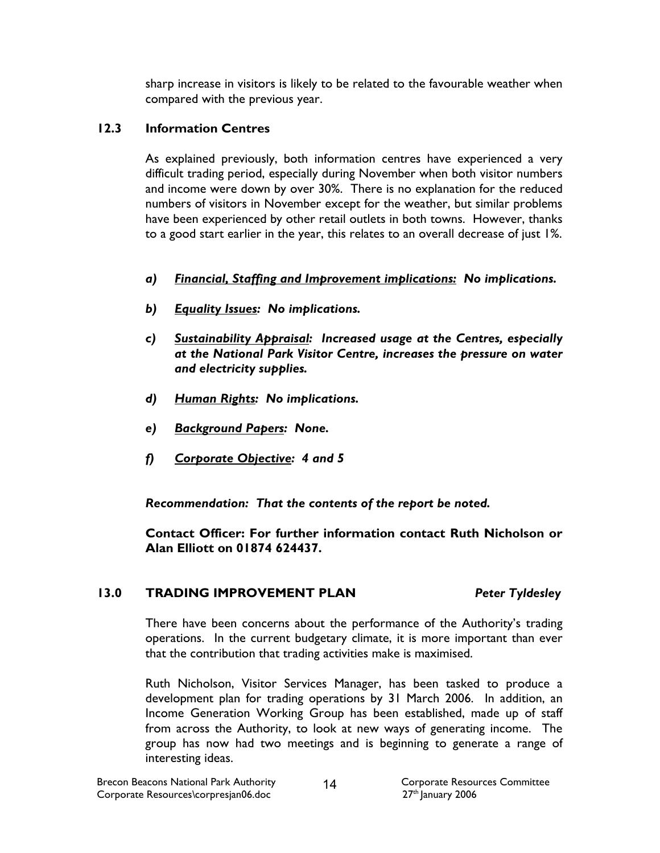sharp increase in visitors is likely to be related to the favourable weather when compared with the previous year.

# 12.3 Information Centres

As explained previously, both information centres have experienced a very difficult trading period, especially during November when both visitor numbers and income were down by over 30%. There is no explanation for the reduced numbers of visitors in November except for the weather, but similar problems have been experienced by other retail outlets in both towns. However, thanks to a good start earlier in the year, this relates to an overall decrease of just 1%.

- a) Financial, Staffing and Improvement implications: No implications.
- b) Equality Issues: No implications.
- c) Sustainability Appraisal: Increased usage at the Centres, especially at the National Park Visitor Centre, increases the pressure on water and electricity supplies.
- d) Human Rights: No implications.
- e) Background Papers: None.
- f) Corporate Objective: 4 and 5

Recommendation: That the contents of the report be noted.

 Contact Officer: For further information contact Ruth Nicholson or Alan Elliott on 01874 624437.

### 13.0 TRADING IMPROVEMENT PLAN Peter Tyldesley

There have been concerns about the performance of the Authority's trading operations. In the current budgetary climate, it is more important than ever that the contribution that trading activities make is maximised.

Ruth Nicholson, Visitor Services Manager, has been tasked to produce a development plan for trading operations by 31 March 2006. In addition, an Income Generation Working Group has been established, made up of staff from across the Authority, to look at new ways of generating income. The group has now had two meetings and is beginning to generate a range of interesting ideas.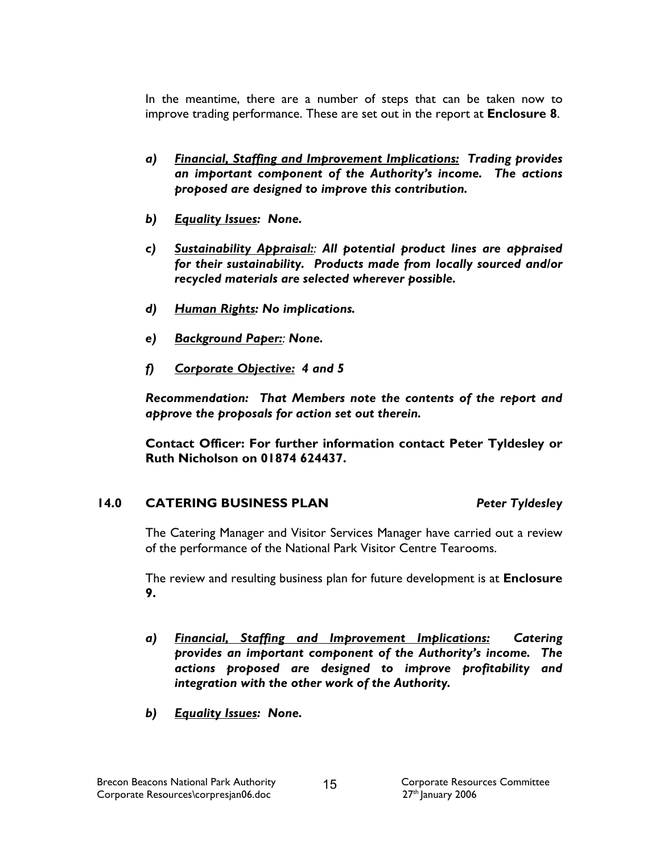In the meantime, there are a number of steps that can be taken now to improve trading performance. These are set out in the report at Enclosure 8.

- a) Financial, Staffing and Improvement Implications: Trading provides an important component of the Authority's income. The actions proposed are designed to improve this contribution.
- b) Equality Issues: None.
- c) Sustainability Appraisal: All potential product lines are appraised for their sustainability. Products made from locally sourced and/or recycled materials are selected wherever possible.
- d) Human Rights: No implications.
- e) Background Paper: None.
- f) Corporate Objective: 4 and 5

Recommendation: That Members note the contents of the report and approve the proposals for action set out therein.

Contact Officer: For further information contact Peter Tyldesley or Ruth Nicholson on 01874 624437.

#### 14.0 CATERING BUSINESS PLAN Peter Tyldesley

The Catering Manager and Visitor Services Manager have carried out a review of the performance of the National Park Visitor Centre Tearooms.

The review and resulting business plan for future development is at **Enclosure** 9.

- a) Financial, Staffing and Improvement Implications: Catering provides an important component of the Authority's income. The actions proposed are designed to improve profitability and integration with the other work of the Authority.
- b) Equality Issues: None.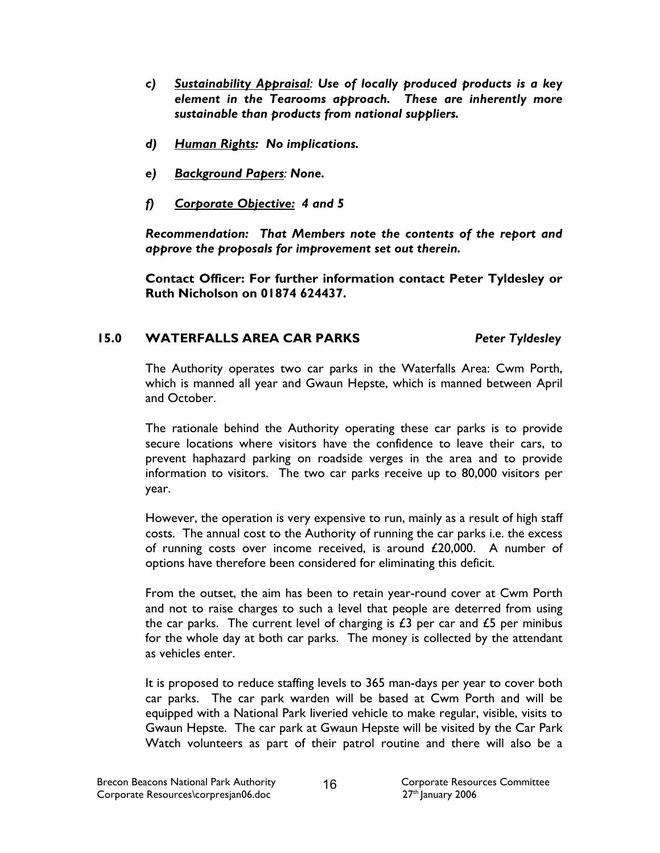- c) Sustainability Appraisal: Use of locally produced products is a key element in the Tearooms approach. These are inherently more sustainable than products from national suppliers.
- d) Human Rights: No implications.
- e) Background Papers: None.
- f) Corporate Objective: 4 and 5

Recommendation: That Members note the contents of the report and approve the proposals for improvement set out therein.

Contact Officer: For further information contact Peter Tyldesley or Ruth Nicholson on 01874 624437.

# 15.0 WATERFALLS AREA CAR PARKS Peter Tyldesley

The Authority operates two car parks in the Waterfalls Area: Cwm Porth, which is manned all year and Gwaun Hepste, which is manned between April and October.

The rationale behind the Authority operating these car parks is to provide secure locations where visitors have the confidence to leave their cars, to prevent haphazard parking on roadside verges in the area and to provide information to visitors. The two car parks receive up to 80,000 visitors per year.

However, the operation is very expensive to run, mainly as a result of high staff costs. The annual cost to the Authority of running the car parks i.e. the excess of running costs over income received, is around £20,000. A number of options have therefore been considered for eliminating this deficit.

From the outset, the aim has been to retain year-round cover at Cwm Porth and not to raise charges to such a level that people are deterred from using the car parks. The current level of charging is  $£3$  per car and  $£5$  per minibus for the whole day at both car parks. The money is collected by the attendant as vehicles enter.

It is proposed to reduce staffing levels to 365 man-days per year to cover both car parks. The car park warden will be based at Cwm Porth and will be equipped with a National Park liveried vehicle to make regular, visible, visits to Gwaun Hepste. The car park at Gwaun Hepste will be visited by the Car Park Watch volunteers as part of their patrol routine and there will also be a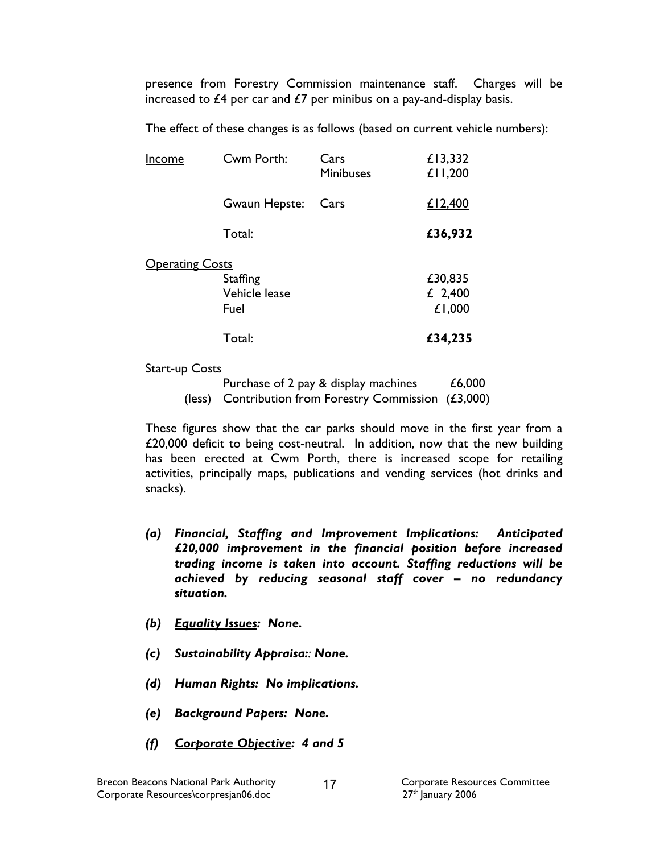presence from Forestry Commission maintenance staff. Charges will be increased to  $£4$  per car and  $£7$  per minibus on a pay-and-display basis.

The effect of these changes is as follows (based on current vehicle numbers):

| Income                 | Cwm Porth:                               | Cars<br>Minibuses | £13,332<br>£11,200           |
|------------------------|------------------------------------------|-------------------|------------------------------|
|                        | Gwaun Hepste:                            | Cars              | £12,400                      |
|                        | Total:                                   |                   | £36,932                      |
| <b>Operating Costs</b> | <b>Staffing</b><br>Vehicle lease<br>Fuel |                   | £30,835<br>£ 2,400<br>£1,000 |
|                        | Total:                                   |                   | £34,235                      |

Start-up Costs

| Purchase of 2 pay & display machines                    | £6,000 |
|---------------------------------------------------------|--------|
| (less) Contribution from Forestry Commission $(£3,000)$ |        |

These figures show that the car parks should move in the first year from a £20,000 deficit to being cost-neutral. In addition, now that the new building has been erected at Cwm Porth, there is increased scope for retailing activities, principally maps, publications and vending services (hot drinks and snacks).

- (a) Financial, Staffing and Improvement Implications: Anticipated £20,000 improvement in the financial position before increased trading income is taken into account. Staffing reductions will be achieved by reducing seasonal staff cover – no redundancy situation.
- (b) Equality Issues: None.
- (c) Sustainability Appraisa: None.
- (d) Human Rights: No implications.
- (e) Background Papers: None.
- (f) Corporate Objective: 4 and 5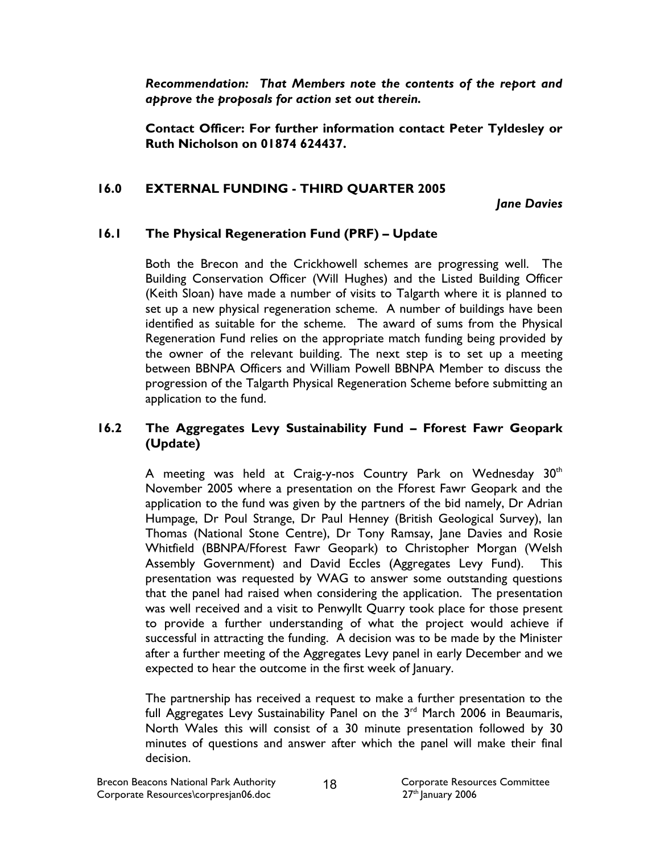Recommendation: That Members note the contents of the report and approve the proposals for action set out therein.

Contact Officer: For further information contact Peter Tyldesley or Ruth Nicholson on 01874 624437.

### 16.0 EXTERNAL FUNDING - THIRD QUARTER 2005

Jane Davies

### 16.1 The Physical Regeneration Fund (PRF) – Update

Both the Brecon and the Crickhowell schemes are progressing well. The Building Conservation Officer (Will Hughes) and the Listed Building Officer (Keith Sloan) have made a number of visits to Talgarth where it is planned to set up a new physical regeneration scheme. A number of buildings have been identified as suitable for the scheme. The award of sums from the Physical Regeneration Fund relies on the appropriate match funding being provided by the owner of the relevant building. The next step is to set up a meeting between BBNPA Officers and William Powell BBNPA Member to discuss the progression of the Talgarth Physical Regeneration Scheme before submitting an application to the fund.

## 16.2 The Aggregates Levy Sustainability Fund – Fforest Fawr Geopark (Update)

A meeting was held at Craig-y-nos Country Park on Wednesday  $30<sup>th</sup>$ November 2005 where a presentation on the Fforest Fawr Geopark and the application to the fund was given by the partners of the bid namely, Dr Adrian Humpage, Dr Poul Strange, Dr Paul Henney (British Geological Survey), Ian Thomas (National Stone Centre), Dr Tony Ramsay, Jane Davies and Rosie Whitfield (BBNPA/Fforest Fawr Geopark) to Christopher Morgan (Welsh Assembly Government) and David Eccles (Aggregates Levy Fund). This presentation was requested by WAG to answer some outstanding questions that the panel had raised when considering the application. The presentation was well received and a visit to Penwyllt Quarry took place for those present to provide a further understanding of what the project would achieve if successful in attracting the funding. A decision was to be made by the Minister after a further meeting of the Aggregates Levy panel in early December and we expected to hear the outcome in the first week of January.

The partnership has received a request to make a further presentation to the full Aggregates Levy Sustainability Panel on the  $3<sup>rd</sup>$  March 2006 in Beaumaris, North Wales this will consist of a 30 minute presentation followed by 30 minutes of questions and answer after which the panel will make their final decision.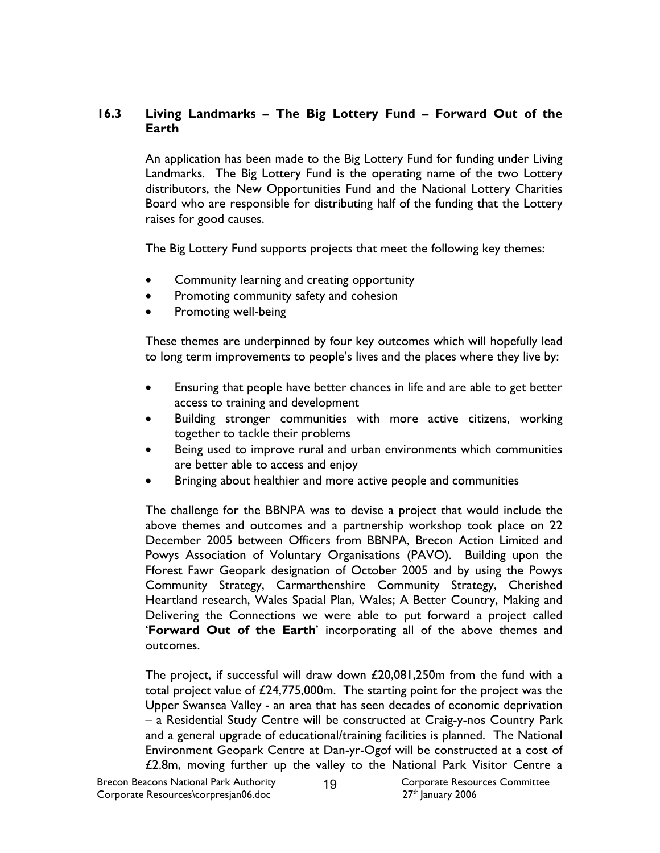## 16.3 Living Landmarks – The Big Lottery Fund – Forward Out of the Earth

An application has been made to the Big Lottery Fund for funding under Living Landmarks. The Big Lottery Fund is the operating name of the two Lottery distributors, the New Opportunities Fund and the National Lottery Charities Board who are responsible for distributing half of the funding that the Lottery raises for good causes.

The Big Lottery Fund supports projects that meet the following key themes:

- Community learning and creating opportunity
- Promoting community safety and cohesion
- Promoting well-being

These themes are underpinned by four key outcomes which will hopefully lead to long term improvements to people's lives and the places where they live by:

- Ensuring that people have better chances in life and are able to get better access to training and development
- Building stronger communities with more active citizens, working together to tackle their problems
- Being used to improve rural and urban environments which communities are better able to access and enjoy
- Bringing about healthier and more active people and communities

The challenge for the BBNPA was to devise a project that would include the above themes and outcomes and a partnership workshop took place on 22 December 2005 between Officers from BBNPA, Brecon Action Limited and Powys Association of Voluntary Organisations (PAVO). Building upon the Fforest Fawr Geopark designation of October 2005 and by using the Powys Community Strategy, Carmarthenshire Community Strategy, Cherished Heartland research, Wales Spatial Plan, Wales; A Better Country, Making and Delivering the Connections we were able to put forward a project called 'Forward Out of the Earth' incorporating all of the above themes and outcomes.

The project, if successful will draw down £20,081,250m from the fund with a total project value of £24,775,000m. The starting point for the project was the Upper Swansea Valley - an area that has seen decades of economic deprivation – a Residential Study Centre will be constructed at Craig-y-nos Country Park and a general upgrade of educational/training facilities is planned. The National Environment Geopark Centre at Dan-yr-Ogof will be constructed at a cost of £2.8m, moving further up the valley to the National Park Visitor Centre a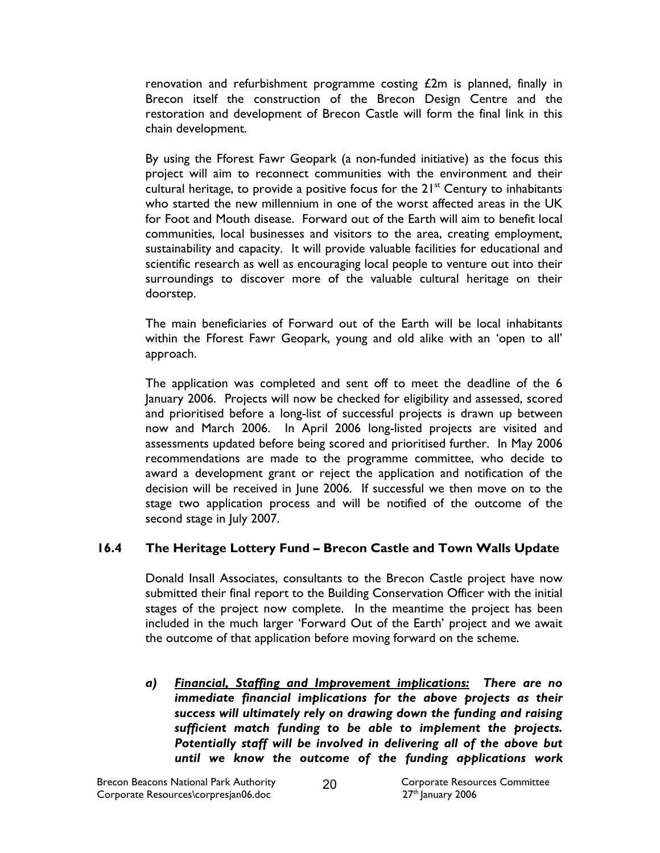renovation and refurbishment programme costing  $£2m$  is planned, finally in Brecon itself the construction of the Brecon Design Centre and the restoration and development of Brecon Castle will form the final link in this chain development.

By using the Fforest Fawr Geopark (a non-funded initiative) as the focus this project will aim to reconnect communities with the environment and their cultural heritage, to provide a positive focus for the  $21<sup>st</sup>$  Century to inhabitants who started the new millennium in one of the worst affected areas in the UK for Foot and Mouth disease. Forward out of the Earth will aim to benefit local communities, local businesses and visitors to the area, creating employment, sustainability and capacity. It will provide valuable facilities for educational and scientific research as well as encouraging local people to venture out into their surroundings to discover more of the valuable cultural heritage on their doorstep.

The main beneficiaries of Forward out of the Earth will be local inhabitants within the Fforest Fawr Geopark, young and old alike with an 'open to all' approach.

The application was completed and sent off to meet the deadline of the 6 January 2006. Projects will now be checked for eligibility and assessed, scored and prioritised before a long-list of successful projects is drawn up between now and March 2006. In April 2006 long-listed projects are visited and assessments updated before being scored and prioritised further. In May 2006 recommendations are made to the programme committee, who decide to award a development grant or reject the application and notification of the decision will be received in June 2006. If successful we then move on to the stage two application process and will be notified of the outcome of the second stage in July 2007.

# 16.4 The Heritage Lottery Fund – Brecon Castle and Town Walls Update

Donald Insall Associates, consultants to the Brecon Castle project have now submitted their final report to the Building Conservation Officer with the initial stages of the project now complete. In the meantime the project has been included in the much larger 'Forward Out of the Earth' project and we await the outcome of that application before moving forward on the scheme.

a) Financial, Staffing and Improvement implications: There are no immediate financial implications for the above projects as their success will ultimately rely on drawing down the funding and raising sufficient match funding to be able to implement the projects. Potentially staff will be involved in delivering all of the above but until we know the outcome of the funding applications work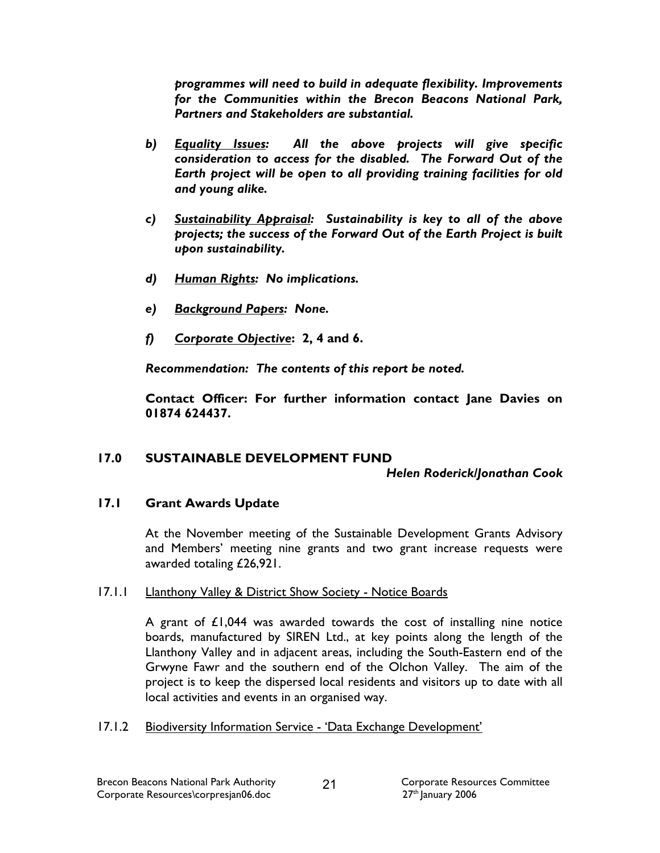programmes will need to build in adequate flexibility. Improvements for the Communities within the Brecon Beacons National Park, Partners and Stakeholders are substantial.

- b) Equality Issues: All the above projects will give specific consideration to access for the disabled. The Forward Out of the Earth project will be open to all providing training facilities for old and young alike.
- c) Sustainability Appraisal: Sustainability is key to all of the above projects; the success of the Forward Out of the Earth Project is built upon sustainability.
- d) Human Rights: No implications.
- e) Background Papers: None.
- f) Corporate Objective: 2, 4 and 6.

Recommendation: The contents of this report be noted.

Contact Officer: For further information contact Jane Davies on 01874 624437.

# 17.0 SUSTAINABLE DEVELOPMENT FUND

### Helen Roderick/Jonathan Cook

### 17.1 Grant Awards Update

At the November meeting of the Sustainable Development Grants Advisory and Members' meeting nine grants and two grant increase requests were awarded totaling £26,921.

### 17.1.1 Llanthony Valley & District Show Society - Notice Boards

A grant of £1,044 was awarded towards the cost of installing nine notice boards, manufactured by SIREN Ltd., at key points along the length of the Llanthony Valley and in adjacent areas, including the South-Eastern end of the Grwyne Fawr and the southern end of the Olchon Valley. The aim of the project is to keep the dispersed local residents and visitors up to date with all local activities and events in an organised way.

17.1.2 Biodiversity Information Service - 'Data Exchange Development'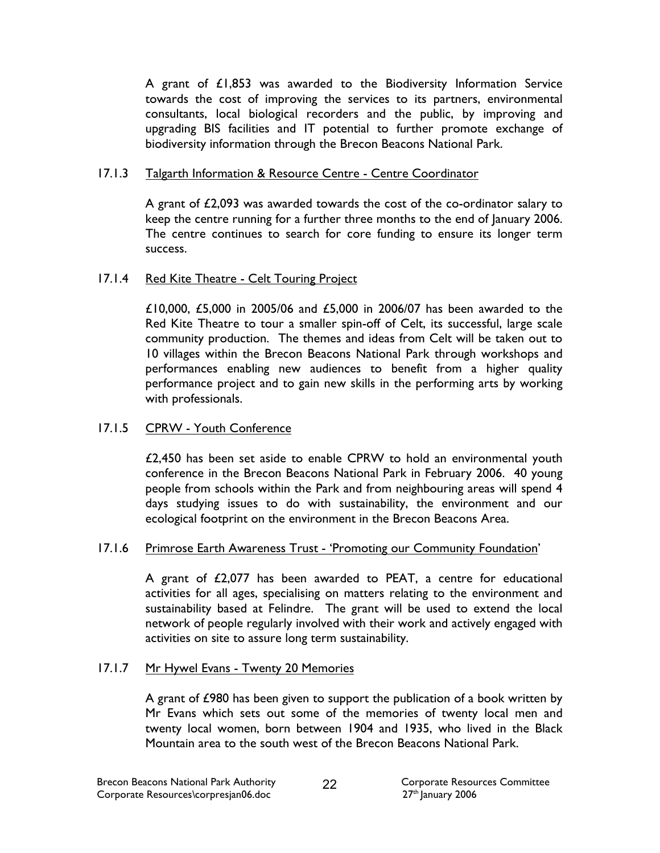A grant of £1,853 was awarded to the Biodiversity Information Service towards the cost of improving the services to its partners, environmental consultants, local biological recorders and the public, by improving and upgrading BIS facilities and IT potential to further promote exchange of biodiversity information through the Brecon Beacons National Park.

### 17.1.3 Talgarth Information & Resource Centre - Centre Coordinator

A grant of £2,093 was awarded towards the cost of the co-ordinator salary to keep the centre running for a further three months to the end of January 2006. The centre continues to search for core funding to ensure its longer term success.

### 17.1.4 Red Kite Theatre - Celt Touring Project

£10,000, £5,000 in 2005/06 and £5,000 in 2006/07 has been awarded to the Red Kite Theatre to tour a smaller spin-off of Celt, its successful, large scale community production. The themes and ideas from Celt will be taken out to 10 villages within the Brecon Beacons National Park through workshops and performances enabling new audiences to benefit from a higher quality performance project and to gain new skills in the performing arts by working with professionals.

### 17.1.5 CPRW - Youth Conference

£2,450 has been set aside to enable CPRW to hold an environmental youth conference in the Brecon Beacons National Park in February 2006. 40 young people from schools within the Park and from neighbouring areas will spend 4 days studying issues to do with sustainability, the environment and our ecological footprint on the environment in the Brecon Beacons Area.

### 17.1.6 Primrose Earth Awareness Trust - 'Promoting our Community Foundation'

A grant of £2,077 has been awarded to PEAT, a centre for educational activities for all ages, specialising on matters relating to the environment and sustainability based at Felindre. The grant will be used to extend the local network of people regularly involved with their work and actively engaged with activities on site to assure long term sustainability.

### 17.1.7 Mr Hywel Evans - Twenty 20 Memories

A grant of £980 has been given to support the publication of a book written by Mr Evans which sets out some of the memories of twenty local men and twenty local women, born between 1904 and 1935, who lived in the Black Mountain area to the south west of the Brecon Beacons National Park.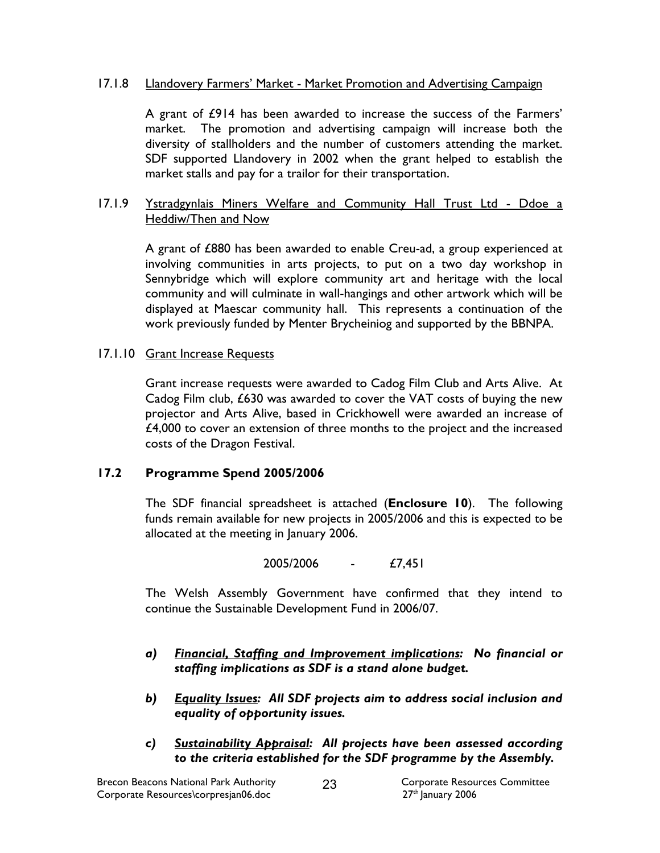#### 17.1.8 Llandovery Farmers' Market - Market Promotion and Advertising Campaign

A grant of £914 has been awarded to increase the success of the Farmers' market. The promotion and advertising campaign will increase both the diversity of stallholders and the number of customers attending the market. SDF supported Llandovery in 2002 when the grant helped to establish the market stalls and pay for a trailor for their transportation.

#### 17.1.9 Ystradgynlais Miners Welfare and Community Hall Trust Ltd - Ddoe a Heddiw/Then and Now

A grant of £880 has been awarded to enable Creu-ad, a group experienced at involving communities in arts projects, to put on a two day workshop in Sennybridge which will explore community art and heritage with the local community and will culminate in wall-hangings and other artwork which will be displayed at Maescar community hall. This represents a continuation of the work previously funded by Menter Brycheiniog and supported by the BBNPA.

#### 17.1.10 Grant Increase Requests

 Grant increase requests were awarded to Cadog Film Club and Arts Alive. At Cadog Film club, £630 was awarded to cover the VAT costs of buying the new projector and Arts Alive, based in Crickhowell were awarded an increase of £4,000 to cover an extension of three months to the project and the increased costs of the Dragon Festival.

### 17.2 Programme Spend 2005/2006

The SDF financial spreadsheet is attached (Enclosure 10). The following funds remain available for new projects in 2005/2006 and this is expected to be allocated at the meeting in January 2006.

2005/2006 - £7,451

The Welsh Assembly Government have confirmed that they intend to continue the Sustainable Development Fund in 2006/07.

- a) Financial, Staffing and Improvement implications: No financial or staffing implications as SDF is a stand alone budget.
- b) Equality Issues: All SDF projects aim to address social inclusion and equality of opportunity issues.
- c) Sustainability Appraisal: All projects have been assessed according to the criteria established for the SDF programme by the Assembly.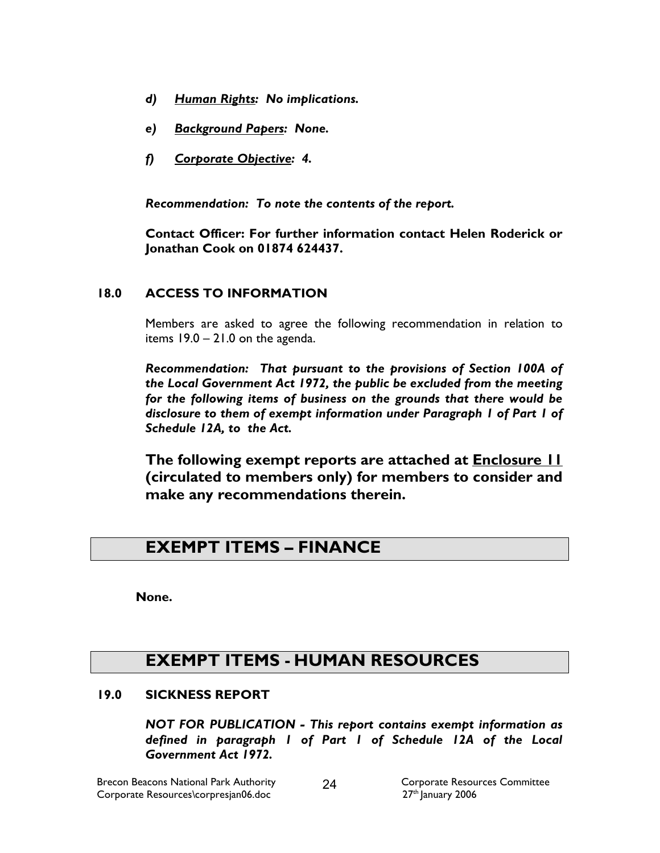- d) Human Rights: No implications.
- e) Background Papers: None.
- f) Corporate Objective: 4.

Recommendation: To note the contents of the report.

Contact Officer: For further information contact Helen Roderick or Jonathan Cook on 01874 624437.

### 18.0 ACCESS TO INFORMATION

Members are asked to agree the following recommendation in relation to items 19.0 – 21.0 on the agenda.

 Recommendation: That pursuant to the provisions of Section 100A of the Local Government Act 1972, the public be excluded from the meeting for the following items of business on the grounds that there would be disclosure to them of exempt information under Paragraph 1 of Part 1 of Schedule 12A, to the Act.

The following exempt reports are attached at **Enclosure 11** (circulated to members only) for members to consider and make any recommendations therein.

# EXEMPT ITEMS – FINANCE

None.

# EXEMPT ITEMS - HUMAN RESOURCES

### 19.0 SICKNESS REPORT

NOT FOR PUBLICATION - This report contains exempt information as defined in paragraph 1 of Part 1 of Schedule 12A of the Local Government Act 1972.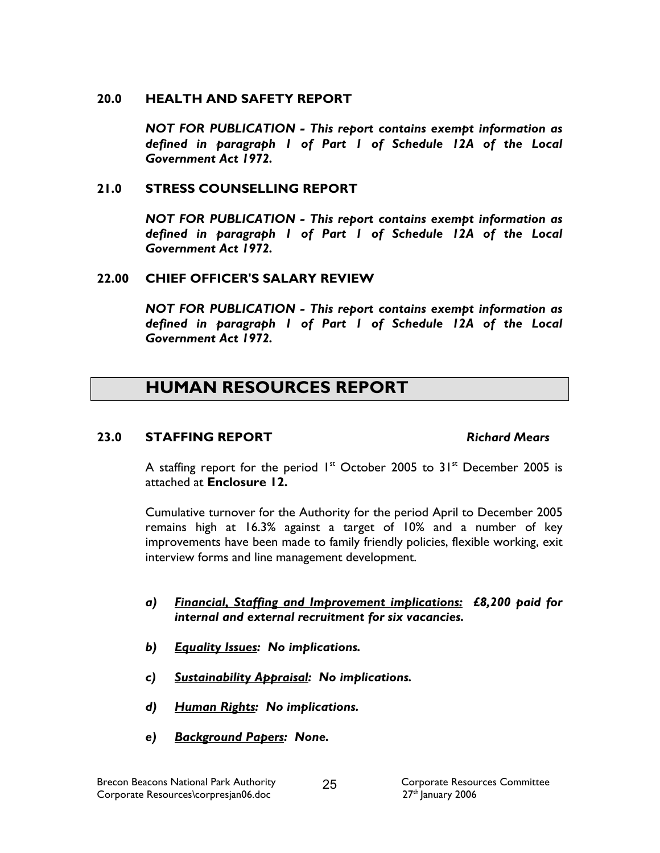#### 20.0 HEALTH AND SAFETY REPORT

NOT FOR PUBLICATION - This report contains exempt information as defined in paragraph 1 of Part 1 of Schedule 12A of the Local Government Act 1972.

#### 21.0 STRESS COUNSELLING REPORT

NOT FOR PUBLICATION - This report contains exempt information as defined in paragraph 1 of Part 1 of Schedule 12A of the Local Government Act 1972.

#### 22.00 CHIEF OFFICER'S SALARY REVIEW

NOT FOR PUBLICATION - This report contains exempt information as defined in paragraph 1 of Part 1 of Schedule 12A of the Local Government Act 1972.

# HUMAN RESOURCES REPORT

#### 23.0 STAFFING REPORT Richard Mears

A staffing report for the period  $1^{st}$  October 2005 to 31 $^{st}$  December 2005 is attached at Enclosure 12.

Cumulative turnover for the Authority for the period April to December 2005 remains high at 16.3% against a target of 10% and a number of key improvements have been made to family friendly policies, flexible working, exit interview forms and line management development.

- a) Financial, Staffing and Improvement implications: £8,200 paid for internal and external recruitment for six vacancies.
- b) Equality Issues: No implications.
- c) Sustainability Appraisal: No implications.
- d) Human Rights: No implications.
- e) Background Papers: None.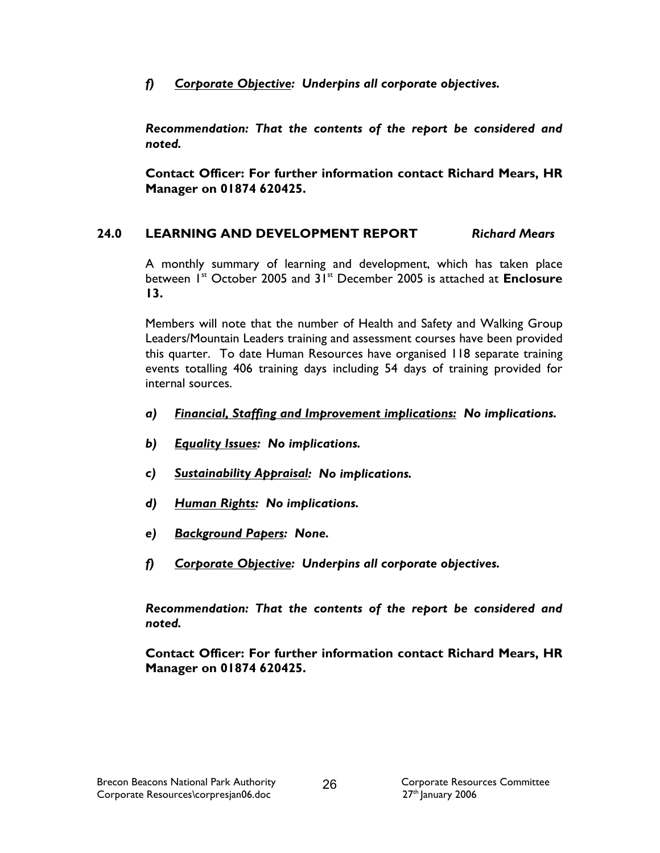f) Corporate Objective: Underpins all corporate objectives.

Recommendation: That the contents of the report be considered and noted.

Contact Officer: For further information contact Richard Mears, HR Manager on 01874 620425.

# 24.0 LEARNING AND DEVELOPMENT REPORT Richard Mears

A monthly summary of learning and development, which has taken place between 1<sup>st</sup> October 2005 and 31<sup>st</sup> December 2005 is attached at **Enclosure** 13.

Members will note that the number of Health and Safety and Walking Group Leaders/Mountain Leaders training and assessment courses have been provided this quarter. To date Human Resources have organised 118 separate training events totalling 406 training days including 54 days of training provided for internal sources.

- a) Financial, Staffing and Improvement implications: No implications.
- b) Equality Issues: No implications.
- c) Sustainability Appraisal: No implications.
- d) Human Rights: No implications.
- e) Background Papers: None.
- f) Corporate Objective: Underpins all corporate objectives.

Recommendation: That the contents of the report be considered and noted.

Contact Officer: For further information contact Richard Mears, HR Manager on 01874 620425.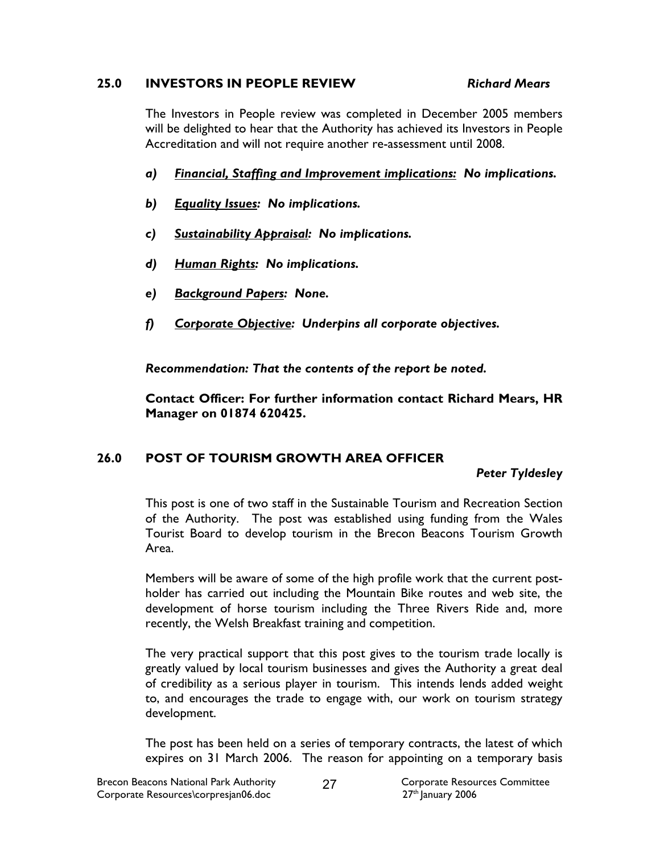#### 25.0 INVESTORS IN PEOPLE REVIEW Richard Mears

 The Investors in People review was completed in December 2005 members will be delighted to hear that the Authority has achieved its Investors in People Accreditation and will not require another re-assessment until 2008.

- a) Financial, Staffing and Improvement implications: No implications.
- b) Equality Issues: No implications.
- c) Sustainability Appraisal: No implications.
- d) Human Rights: No implications.
- e) Background Papers: None.
- f) Corporate Objective: Underpins all corporate objectives.

Recommendation: That the contents of the report be noted.

Contact Officer: For further information contact Richard Mears, HR Manager on 01874 620425.

# 26.0 POST OF TOURISM GROWTH AREA OFFICER

### Peter Tyldesley

This post is one of two staff in the Sustainable Tourism and Recreation Section of the Authority. The post was established using funding from the Wales Tourist Board to develop tourism in the Brecon Beacons Tourism Growth Area.

Members will be aware of some of the high profile work that the current postholder has carried out including the Mountain Bike routes and web site, the development of horse tourism including the Three Rivers Ride and, more recently, the Welsh Breakfast training and competition.

The very practical support that this post gives to the tourism trade locally is greatly valued by local tourism businesses and gives the Authority a great deal of credibility as a serious player in tourism. This intends lends added weight to, and encourages the trade to engage with, our work on tourism strategy development.

The post has been held on a series of temporary contracts, the latest of which expires on 31 March 2006. The reason for appointing on a temporary basis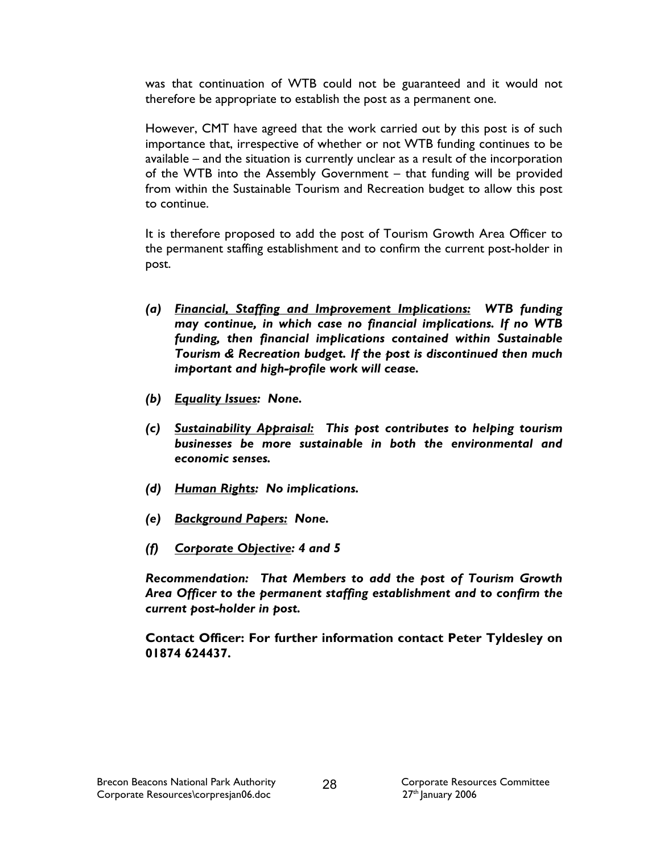was that continuation of WTB could not be guaranteed and it would not therefore be appropriate to establish the post as a permanent one.

However, CMT have agreed that the work carried out by this post is of such importance that, irrespective of whether or not WTB funding continues to be available – and the situation is currently unclear as a result of the incorporation of the WTB into the Assembly Government – that funding will be provided from within the Sustainable Tourism and Recreation budget to allow this post to continue.

It is therefore proposed to add the post of Tourism Growth Area Officer to the permanent staffing establishment and to confirm the current post-holder in post.

- (a) Financial, Staffing and Improvement Implications: WTB funding may continue, in which case no financial implications. If no WTB funding, then financial implications contained within Sustainable Tourism & Recreation budget. If the post is discontinued then much important and high-profile work will cease.
- (b) Equality Issues: None.
- (c) Sustainability Appraisal: This post contributes to helping tourism businesses be more sustainable in both the environmental and economic senses.
- (d) Human Rights: No implications.
- (e) Background Papers: None.
- (f) Corporate Objective: 4 and 5

Recommendation: That Members to add the post of Tourism Growth Area Officer to the permanent staffing establishment and to confirm the current post-holder in post.

Contact Officer: For further information contact Peter Tyldesley on 01874 624437.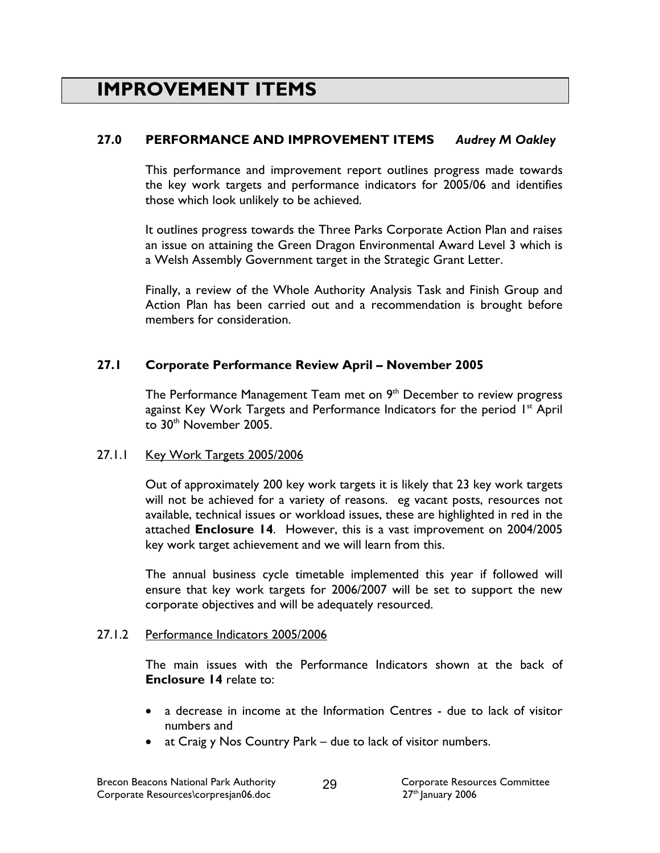# IMPROVEMENT ITEMS

# 27.0 PERFORMANCE AND IMPROVEMENT ITEMS Audrey M Oakley

This performance and improvement report outlines progress made towards the key work targets and performance indicators for 2005/06 and identifies those which look unlikely to be achieved.

It outlines progress towards the Three Parks Corporate Action Plan and raises an issue on attaining the Green Dragon Environmental Award Level 3 which is a Welsh Assembly Government target in the Strategic Grant Letter.

Finally, a review of the Whole Authority Analysis Task and Finish Group and Action Plan has been carried out and a recommendation is brought before members for consideration.

## 27.1 Corporate Performance Review April – November 2005

The Performance Management Team met on 9<sup>th</sup> December to review progress against Key Work Targets and Performance Indicators for the period 1<sup>st</sup> April to 30<sup>th</sup> November 2005.

### 27.1.1 Key Work Targets 2005/2006

 Out of approximately 200 key work targets it is likely that 23 key work targets will not be achieved for a variety of reasons. eg vacant posts, resources not available, technical issues or workload issues, these are highlighted in red in the attached Enclosure 14. However, this is a vast improvement on 2004/2005 key work target achievement and we will learn from this.

 The annual business cycle timetable implemented this year if followed will ensure that key work targets for 2006/2007 will be set to support the new corporate objectives and will be adequately resourced.

### 27.1.2 Performance Indicators 2005/2006

 The main issues with the Performance Indicators shown at the back of Enclosure 14 relate to:

- a decrease in income at the Information Centres due to lack of visitor numbers and
- at Craig y Nos Country Park due to lack of visitor numbers.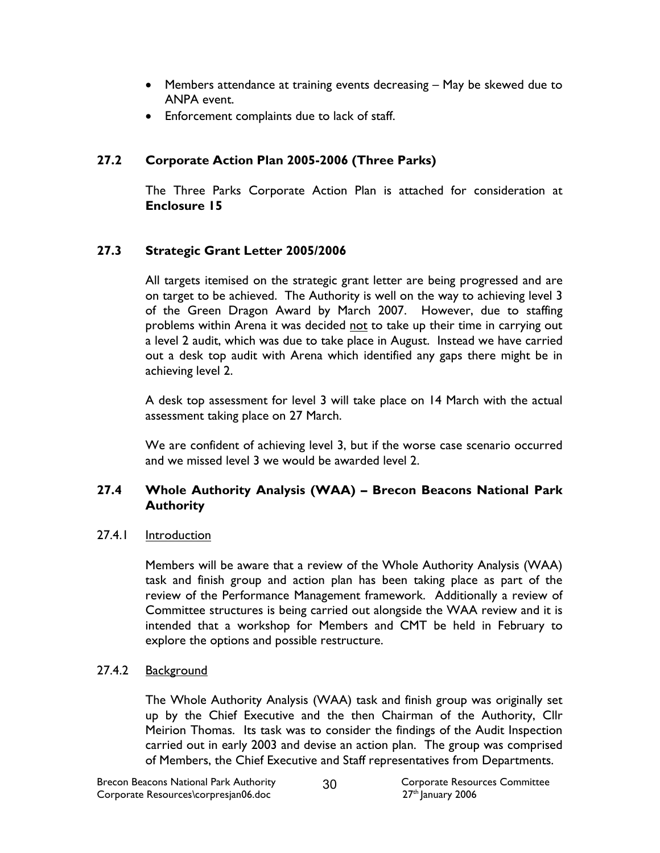- Members attendance at training events decreasing May be skewed due to ANPA event.
- Enforcement complaints due to lack of staff.

# 27.2 Corporate Action Plan 2005-2006 (Three Parks)

 The Three Parks Corporate Action Plan is attached for consideration at Enclosure 15

# 27.3 Strategic Grant Letter 2005/2006

All targets itemised on the strategic grant letter are being progressed and are on target to be achieved. The Authority is well on the way to achieving level 3 of the Green Dragon Award by March 2007. However, due to staffing problems within Arena it was decided not to take up their time in carrying out a level 2 audit, which was due to take place in August. Instead we have carried out a desk top audit with Arena which identified any gaps there might be in achieving level 2.

A desk top assessment for level 3 will take place on 14 March with the actual assessment taking place on 27 March.

We are confident of achieving level 3, but if the worse case scenario occurred and we missed level 3 we would be awarded level 2.

## 27.4 Whole Authority Analysis (WAA) – Brecon Beacons National Park **Authority**

27.4.1 Introduction

Members will be aware that a review of the Whole Authority Analysis (WAA) task and finish group and action plan has been taking place as part of the review of the Performance Management framework. Additionally a review of Committee structures is being carried out alongside the WAA review and it is intended that a workshop for Members and CMT be held in February to explore the options and possible restructure.

# 27.4.2 Background

The Whole Authority Analysis (WAA) task and finish group was originally set up by the Chief Executive and the then Chairman of the Authority, Cllr Meirion Thomas. Its task was to consider the findings of the Audit Inspection carried out in early 2003 and devise an action plan. The group was comprised of Members, the Chief Executive and Staff representatives from Departments.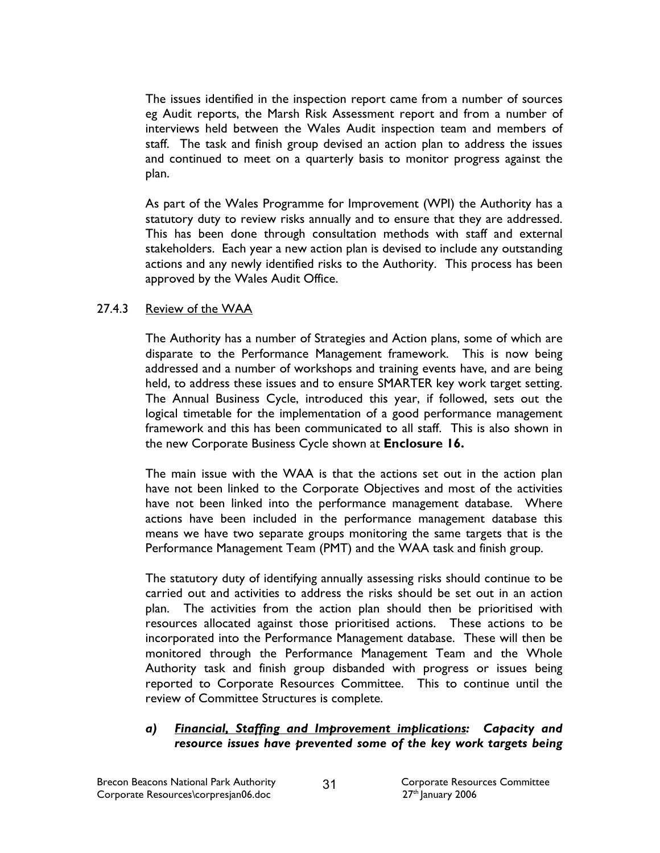The issues identified in the inspection report came from a number of sources eg Audit reports, the Marsh Risk Assessment report and from a number of interviews held between the Wales Audit inspection team and members of staff. The task and finish group devised an action plan to address the issues and continued to meet on a quarterly basis to monitor progress against the plan.

As part of the Wales Programme for Improvement (WPI) the Authority has a statutory duty to review risks annually and to ensure that they are addressed. This has been done through consultation methods with staff and external stakeholders. Each year a new action plan is devised to include any outstanding actions and any newly identified risks to the Authority. This process has been approved by the Wales Audit Office.

### 27.4.3 Review of the WAA

The Authority has a number of Strategies and Action plans, some of which are disparate to the Performance Management framework. This is now being addressed and a number of workshops and training events have, and are being held, to address these issues and to ensure SMARTER key work target setting. The Annual Business Cycle, introduced this year, if followed, sets out the logical timetable for the implementation of a good performance management framework and this has been communicated to all staff. This is also shown in the new Corporate Business Cycle shown at Enclosure 16.

The main issue with the WAA is that the actions set out in the action plan have not been linked to the Corporate Objectives and most of the activities have not been linked into the performance management database. Where actions have been included in the performance management database this means we have two separate groups monitoring the same targets that is the Performance Management Team (PMT) and the WAA task and finish group.

The statutory duty of identifying annually assessing risks should continue to be carried out and activities to address the risks should be set out in an action plan. The activities from the action plan should then be prioritised with resources allocated against those prioritised actions. These actions to be incorporated into the Performance Management database. These will then be monitored through the Performance Management Team and the Whole Authority task and finish group disbanded with progress or issues being reported to Corporate Resources Committee. This to continue until the review of Committee Structures is complete.

#### a) Financial, Staffing and Improvement implications: Capacity and resource issues have prevented some of the key work targets being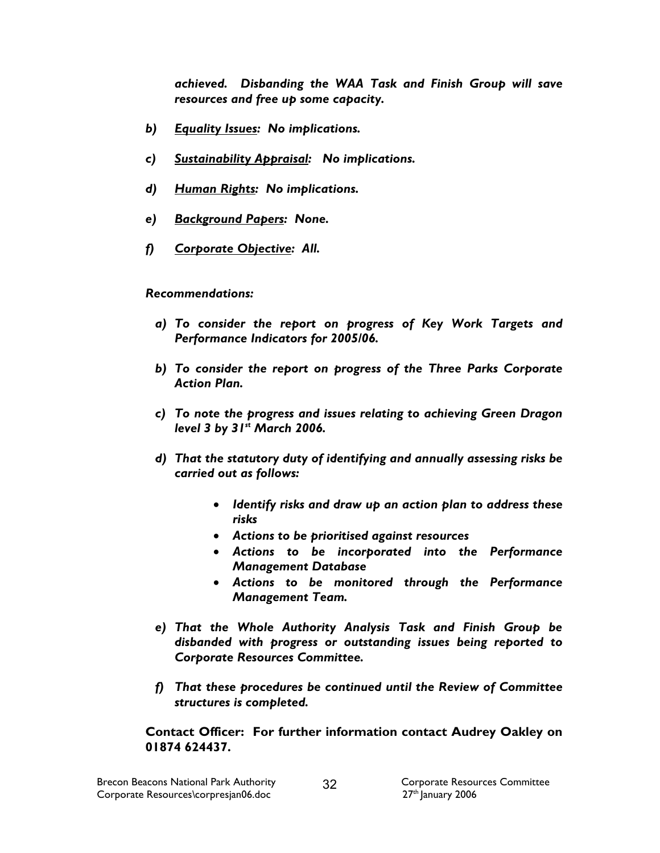achieved. Disbanding the WAA Task and Finish Group will save resources and free up some capacity.

- b) Equality Issues: No implications.
- c) Sustainability Appraisal: No implications.
- d) Human Rights: No implications.
- e) Background Papers: None.
- f) Corporate Objective: All.

#### Recommendations:

- a) To consider the report on progress of Key Work Targets and Performance Indicators for 2005/06.
- b) To consider the report on progress of the Three Parks Corporate Action Plan.
- c) To note the progress and issues relating to achieving Green Dragon level 3 by  $31<sup>st</sup>$  March 2006.
- d) That the statutory duty of identifying and annually assessing risks be carried out as follows:
	- Identify risks and draw up an action plan to address these risks
	- Actions to be prioritised against resources
	- Actions to be incorporated into the Performance Management Database
	- Actions to be monitored through the Performance Management Team.
- e) That the Whole Authority Analysis Task and Finish Group be disbanded with progress or outstanding issues being reported to Corporate Resources Committee.
- f) That these procedures be continued until the Review of Committee structures is completed.

Contact Officer: For further information contact Audrey Oakley on 01874 624437.